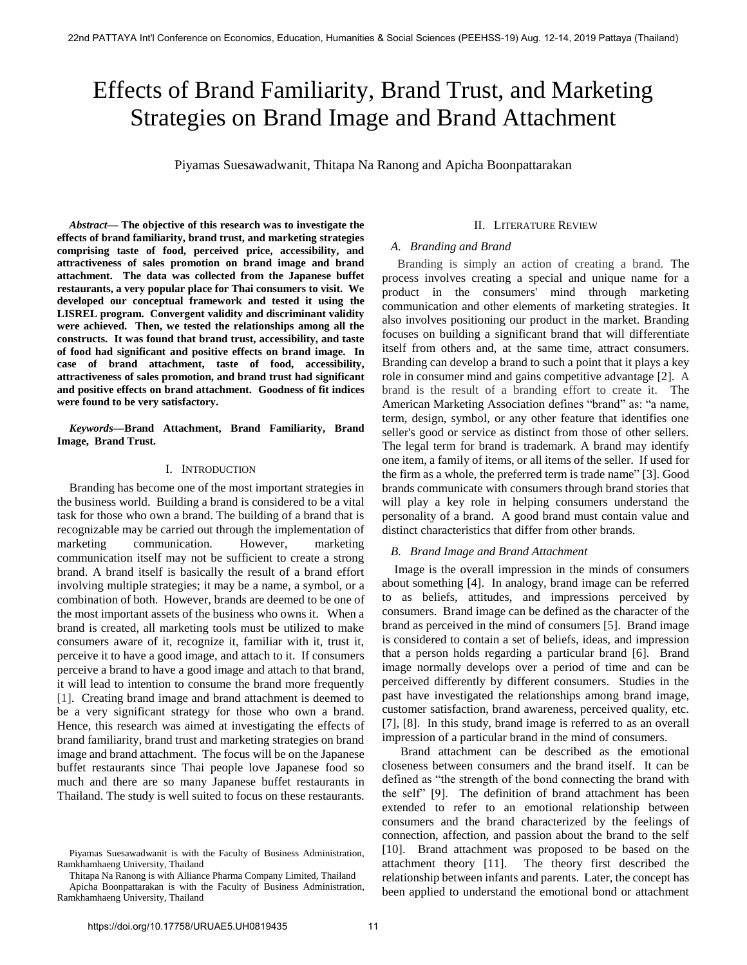# Effects of Brand Familiarity, Brand Trust, and Marketing Strategies on Brand Image and Brand Attachment

Piyamas Suesawadwanit, Thitapa Na Ranong and Apicha Boonpattarakan

*Abstract***— The objective of this research was to investigate the effects of brand familiarity, brand trust, and marketing strategies comprising taste of food, perceived price, accessibility, and attractiveness of sales promotion on brand image and brand attachment. The data was collected from the Japanese buffet restaurants, a very popular place for Thai consumers to visit. We developed our conceptual framework and tested it using the LISREL program. Convergent validity and discriminant validity were achieved. Then, we tested the relationships among all the constructs. It was found that brand trust, accessibility, and taste of food had significant and positive effects on brand image. In case of brand attachment, taste of food, accessibility, attractiveness of sales promotion, and brand trust had significant and positive effects on brand attachment. Goodness of fit indices were found to be very satisfactory.** 

*Keywords***—Brand Attachment, Brand Familiarity, Brand Image, Brand Trust.** 

## I. INTRODUCTION

 Branding has become one of the most important strategies in the business world. Building a brand is considered to be a vital task for those who own a brand. The building of a brand that is recognizable may be carried out through the implementation of marketing communication. However, marketing communication itself may not be sufficient to create a strong brand. A brand itself is basically the result of a brand effort involving multiple strategies; it may be a name, a symbol, or a combination of both. However, brands are deemed to be one of the most important assets of the business who owns it. When a brand is created, all marketing tools must be utilized to make consumers aware of it, recognize it, familiar with it, trust it, perceive it to have a good image, and attach to it. If consumers perceive a brand to have a good image and attach to that brand, it will lead to intention to consume the brand more frequently [1]. Creating brand image and brand attachment is deemed to be a very significant strategy for those who own a brand. Hence, this research was aimed at investigating the effects of brand familiarity, brand trust and marketing strategies on brand image and brand attachment. The focus will be on the Japanese buffet restaurants since Thai people love Japanese food so much and there are so many Japanese buffet restaurants in Thailand. The study is well suited to focus on these restaurants.

#### II. LITERATURE REVIEW

# *A. Branding and Brand*

 Branding is simply an action of creating a brand. The process involves creating a special and unique name for a product in the consumers' mind through marketing communication and other elements of marketing strategies. It also involves positioning our product in the market. Branding focuses on building a significant brand that will differentiate itself from others and, at the same time, attract consumers. Branding can develop a brand to such a point that it plays a key role in consumer mind and gains competitive advantage [2]. A brand is the result of a branding effort to create it. The American Marketing Association defines "brand" as: "a name, term, design, symbol, or any other feature that identifies one seller's good or service as distinct from those of other sellers. The legal term for brand is trademark. A brand may identify one item, a family of items, or all items of the seller. If used for the firm as a whole, the preferred term is trade name" [3]. Good brands communicate with consumers through brand stories that will play a key role in helping consumers understand the personality of a brand. A good brand must contain value and distinct characteristics that differ from other brands.

#### *B. Brand Image and Brand Attachment*

 Image is the overall impression in the minds of consumers about something [4]. In analogy, brand image can be referred to as beliefs, attitudes, and impressions perceived by consumers. Brand image can be defined as the character of the brand as perceived in the mind of consumers [5]. Brand image is considered to contain a set of beliefs, ideas, and impression that a person holds regarding a particular brand [6]. Brand image normally develops over a period of time and can be perceived differently by different consumers. Studies in the past have investigated the relationships among brand image, customer satisfaction, brand awareness, perceived quality, etc. [7], [8]. In this study, brand image is referred to as an overall impression of a particular brand in the mind of consumers.

 Brand attachment can be described as the emotional closeness between consumers and the brand itself. It can be defined as "the strength of the bond connecting the brand with the self" [9]. The definition of brand attachment has been extended to refer to an emotional relationship between consumers and the brand characterized by the feelings of connection, affection, and passion about the brand to the self [10]. Brand attachment was proposed to be based on the attachment theory [11]. The theory first described the relationship between infants and parents. Later, the concept has been applied to understand the emotional bond or attachment

Piyamas Suesawadwanit is with the Faculty of Business Administration, Ramkhamhaeng University, Thailand

Thitapa Na Ranong is with Alliance Pharma Company Limited, Thailand Apicha Boonpattarakan is with the Faculty of Business Administration, Ramkhamhaeng University, Thailand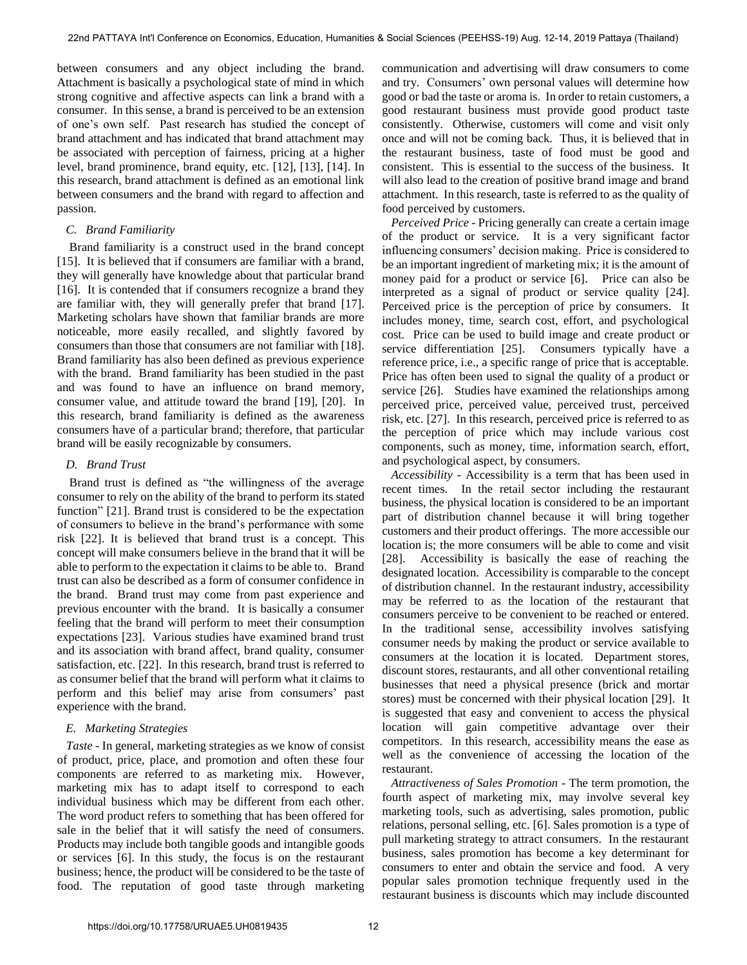between consumers and any object including the brand. Attachment is basically a psychological state of mind in which strong cognitive and affective aspects can link a brand with a consumer. In this sense, a brand is perceived to be an extension of one's own self. Past research has studied the concept of brand attachment and has indicated that brand attachment may be associated with perception of fairness, pricing at a higher level, brand prominence, brand equity, etc. [12], [13], [14]. In this research, brand attachment is defined as an emotional link between consumers and the brand with regard to affection and passion.

#### *C. Brand Familiarity*

Brand familiarity is a construct used in the brand concept [15]. It is believed that if consumers are familiar with a brand, they will generally have knowledge about that particular brand [16]. It is contended that if consumers recognize a brand they are familiar with, they will generally prefer that brand [17]. Marketing scholars have shown that familiar brands are more noticeable, more easily recalled, and slightly favored by consumers than those that consumers are not familiar with [18]. Brand familiarity has also been defined as previous experience with the brand. Brand familiarity has been studied in the past and was found to have an influence on brand memory, consumer value, and attitude toward the brand [19], [20]. In this research, brand familiarity is defined as the awareness consumers have of a particular brand; therefore, that particular brand will be easily recognizable by consumers.

#### *D. Brand Trust*

 Brand trust is defined as "the willingness of the average consumer to rely on the ability of the brand to perform its stated function" [21]. Brand trust is considered to be the expectation of consumers to believe in the brand's performance with some risk [22]. It is believed that brand trust is a concept. This concept will make consumers believe in the brand that it will be able to perform to the expectation it claims to be able to. Brand trust can also be described as a form of consumer confidence in the brand. Brand trust may come from past experience and previous encounter with the brand. It is basically a consumer feeling that the brand will perform to meet their consumption expectations [23]. Various studies have examined brand trust and its association with brand affect, brand quality, consumer satisfaction, etc. [22]. In this research, brand trust is referred to as consumer belief that the brand will perform what it claims to perform and this belief may arise from consumers' past experience with the brand.

## *E. Marketing Strategies*

 *Taste* - In general, marketing strategies as we know of consist of product, price, place, and promotion and often these four components are referred to as marketing mix. However, marketing mix has to adapt itself to correspond to each individual business which may be different from each other. The word product refers to something that has been offered for sale in the belief that it will satisfy the need of consumers. Products may include both tangible goods and intangible goods or services [6]. In this study, the focus is on the restaurant business; hence, the product will be considered to be the taste of food. The reputation of good taste through marketing communication and advertising will draw consumers to come and try. Consumers' own personal values will determine how good or bad the taste or aroma is. In order to retain customers, a good restaurant business must provide good product taste consistently. Otherwise, customers will come and visit only once and will not be coming back. Thus, it is believed that in the restaurant business, taste of food must be good and consistent. This is essential to the success of the business. It will also lead to the creation of positive brand image and brand attachment. In this research, taste is referred to as the quality of food perceived by customers.

 *Perceived Price* - Pricing generally can create a certain image of the product or service. It is a very significant factor influencing consumers' decision making. Price is considered to be an important ingredient of marketing mix; it is the amount of money paid for a product or service [6]. Price can also be interpreted as a signal of product or service quality [24]. Perceived price is the perception of price by consumers. It includes money, time, search cost, effort, and psychological cost. Price can be used to build image and create product or service differentiation [25]. Consumers typically have a reference price, i.e., a specific range of price that is acceptable. Price has often been used to signal the quality of a product or service [26]. Studies have examined the relationships among perceived price, perceived value, perceived trust, perceived risk, etc. [27]. In this research, perceived price is referred to as the perception of price which may include various cost components, such as money, time, information search, effort, and psychological aspect, by consumers.

 *Accessibility* - Accessibility is a term that has been used in recent times. In the retail sector including the restaurant business, the physical location is considered to be an important part of distribution channel because it will bring together customers and their product offerings. The more accessible our location is; the more consumers will be able to come and visit [28]. Accessibility is basically the ease of reaching the designated location. Accessibility is comparable to the concept of distribution channel. In the restaurant industry, accessibility may be referred to as the location of the restaurant that consumers perceive to be convenient to be reached or entered. In the traditional sense, accessibility involves satisfying consumer needs by making the product or service available to consumers at the location it is located. Department stores, discount stores, restaurants, and all other conventional retailing businesses that need a physical presence (brick and mortar stores) must be concerned with their physical location [29]. It is suggested that easy and convenient to access the physical location will gain competitive advantage over their competitors. In this research, accessibility means the ease as well as the convenience of accessing the location of the restaurant.

 *Attractiveness of Sales Promotion* - The term promotion, the fourth aspect of marketing mix, may involve several key marketing tools, such as advertising, sales promotion, public relations, personal selling, etc. [6]. Sales promotion is a type of pull marketing strategy to attract consumers. In the restaurant business, sales promotion has become a key determinant for consumers to enter and obtain the service and food. A very popular sales promotion technique frequently used in the restaurant business is discounts which may include discounted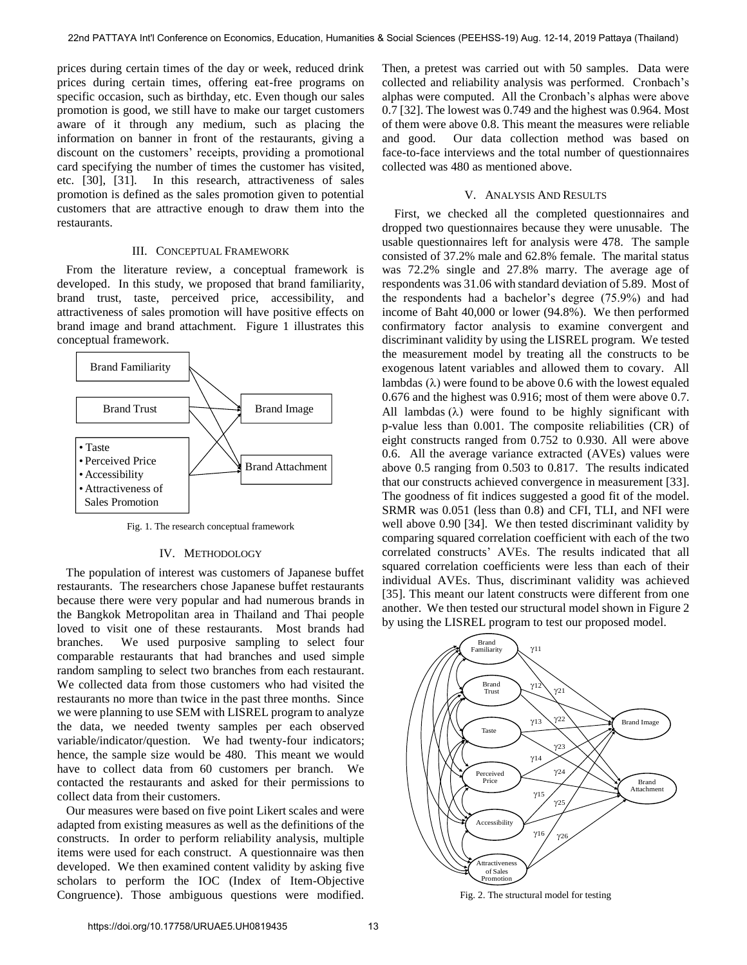prices during certain times of the day or week, reduced drink prices during certain times, offering eat-free programs on specific occasion, such as birthday, etc. Even though our sales promotion is good, we still have to make our target customers aware of it through any medium, such as placing the information on banner in front of the restaurants, giving a discount on the customers' receipts, providing a promotional card specifying the number of times the customer has visited, etc. [30], [31]. In this research, attractiveness of sales promotion is defined as the sales promotion given to potential customers that are attractive enough to draw them into the restaurants.

# III. CONCEPTUAL FRAMEWORK

 From the literature review, a conceptual framework is developed. In this study, we proposed that brand familiarity, brand trust, taste, perceived price, accessibility, and attractiveness of sales promotion will have positive effects on brand image and brand attachment. Figure 1 illustrates this conceptual framework.



Fig. 1. The research conceptual framework

#### IV. METHODOLOGY

 The population of interest was customers of Japanese buffet restaurants. The researchers chose Japanese buffet restaurants because there were very popular and had numerous brands in the Bangkok Metropolitan area in Thailand and Thai people loved to visit one of these restaurants. Most brands had branches. We used purposive sampling to select four comparable restaurants that had branches and used simple random sampling to select two branches from each restaurant. We collected data from those customers who had visited the restaurants no more than twice in the past three months. Since we were planning to use SEM with LISREL program to analyze the data, we needed twenty samples per each observed variable/indicator/question. We had twenty-four indicators; hence, the sample size would be 480. This meant we would have to collect data from 60 customers per branch. We contacted the restaurants and asked for their permissions to collect data from their customers.

 Our measures were based on five point Likert scales and were adapted from existing measures as well as the definitions of the constructs. In order to perform reliability analysis, multiple items were used for each construct. A questionnaire was then developed. We then examined content validity by asking five scholars to perform the IOC (Index of Item-Objective Congruence). Those ambiguous questions were modified.

Then, a pretest was carried out with 50 samples. Data were collected and reliability analysis was performed. Cronbach's alphas were computed. All the Cronbach's alphas were above 0.7 [32]. The lowest was 0.749 and the highest was 0.964. Most of them were above 0.8. This meant the measures were reliable and good. Our data collection method was based on face-to-face interviews and the total number of questionnaires collected was 480 as mentioned above.

#### V. ANALYSIS AND RESULTS

First, we checked all the completed questionnaires and dropped two questionnaires because they were unusable. The usable questionnaires left for analysis were 478. The sample consisted of 37.2% male and 62.8% female. The marital status was 72.2% single and 27.8% marry. The average age of respondents was 31.06 with standard deviation of 5.89. Most of the respondents had a bachelor's degree (75.9%) and had income of Baht 40,000 or lower (94.8%). We then performed confirmatory factor analysis to examine convergent and discriminant validity by using the LISREL program. We tested the measurement model by treating all the constructs to be exogenous latent variables and allowed them to covary. All lambdas  $(\lambda)$  were found to be above 0.6 with the lowest equaled 0.676 and the highest was 0.916; most of them were above 0.7. All lambdas  $(\lambda)$  were found to be highly significant with p-value less than 0.001. The composite reliabilities (CR) of eight constructs ranged from 0.752 to 0.930. All were above 0.6. All the average variance extracted (AVEs) values were above 0.5 ranging from 0.503 to 0.817. The results indicated that our constructs achieved convergence in measurement [33]. The goodness of fit indices suggested a good fit of the model. SRMR was 0.051 (less than 0.8) and CFI, TLI, and NFI were well above 0.90 [34]. We then tested discriminant validity by comparing squared correlation coefficient with each of the two correlated constructs' AVEs. The results indicated that all squared correlation coefficients were less than each of their individual AVEs. Thus, discriminant validity was achieved [35]. This meant our latent constructs were different from one another. We then tested our structural model shown in Figure 2 by using the LISREL program to test our proposed model.



Fig. 2. The structural model for testing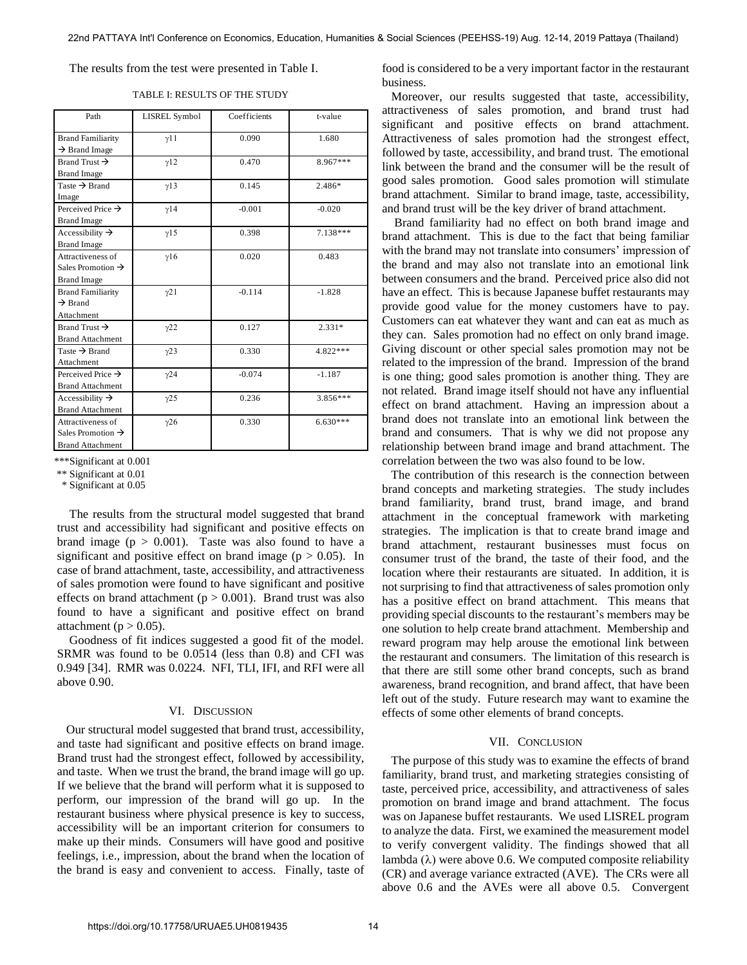The results from the test were presented in Table I.

| Path                          | LISREL Symbol | Coefficients | t-value    |
|-------------------------------|---------------|--------------|------------|
| <b>Brand Familiarity</b>      | $\gamma$ 11   | 0.090        | 1.680      |
| $\rightarrow$ Brand Image     |               |              |            |
|                               |               |              |            |
| Brand Trust $\rightarrow$     | $\gamma$ 12   | 0.470        | 8.967***   |
| <b>Brand Image</b>            |               |              |            |
| Taste $\rightarrow$ Brand     | y13           | 0.145        | 2.486*     |
| Image                         |               |              |            |
| Perceived Price $\rightarrow$ | y14           | $-0.001$     | $-0.020$   |
| <b>Brand Image</b>            |               |              |            |
| Accessibility $\rightarrow$   | $\gamma$ 15   | 0.398        | $7.138***$ |
| <b>Brand Image</b>            |               |              |            |
| Attractiveness of             | $\gamma$ 16   | 0.020        | 0.483      |
| Sales Promotion $\rightarrow$ |               |              |            |
| <b>Brand Image</b>            |               |              |            |
| <b>Brand Familiarity</b>      | $\gamma$ 21   | $-0.114$     | $-1.828$   |
| $\rightarrow$ Brand           |               |              |            |
| Attachment                    |               |              |            |
| Brand Trust $\rightarrow$     | $\gamma$ 22   | 0.127        | $2.331*$   |
| <b>Brand Attachment</b>       |               |              |            |
| Taste $\rightarrow$ Brand     | $\gamma$ 23   | 0.330        | 4.822***   |
| Attachment                    |               |              |            |
| Perceived Price $\rightarrow$ | $\gamma$ 24   | $-0.074$     | $-1.187$   |
| <b>Brand Attachment</b>       |               |              |            |
| Accessibility $\rightarrow$   | $\gamma$ 25   | 0.236        | 3.856***   |
| <b>Brand Attachment</b>       |               |              |            |
| Attractiveness of             | $\gamma$ 26   | 0.330        | $6.630***$ |
| Sales Promotion $\rightarrow$ |               |              |            |
| <b>Brand Attachment</b>       |               |              |            |

TABLE I: RESULTS OF THE STUDY

\*\*\*Significant at 0.001

\*\* Significant at 0.01

\* Significant at 0.05

The results from the structural model suggested that brand trust and accessibility had significant and positive effects on brand image  $(p > 0.001)$ . Taste was also found to have a significant and positive effect on brand image ( $p > 0.05$ ). In case of brand attachment, taste, accessibility, and attractiveness of sales promotion were found to have significant and positive effects on brand attachment ( $p > 0.001$ ). Brand trust was also found to have a significant and positive effect on brand attachment ( $p > 0.05$ ).

Goodness of fit indices suggested a good fit of the model. SRMR was found to be 0.0514 (less than 0.8) and CFI was 0.949 [34]. RMR was 0.0224. NFI, TLI, IFI, and RFI were all above 0.90.

#### VI. DISCUSSION

 Our structural model suggested that brand trust, accessibility, and taste had significant and positive effects on brand image. Brand trust had the strongest effect, followed by accessibility, and taste. When we trust the brand, the brand image will go up. If we believe that the brand will perform what it is supposed to perform, our impression of the brand will go up. In the restaurant business where physical presence is key to success, accessibility will be an important criterion for consumers to make up their minds. Consumers will have good and positive feelings, i.e., impression, about the brand when the location of the brand is easy and convenient to access. Finally, taste of food is considered to be a very important factor in the restaurant business.

 Moreover, our results suggested that taste, accessibility, attractiveness of sales promotion, and brand trust had significant and positive effects on brand attachment. Attractiveness of sales promotion had the strongest effect, followed by taste, accessibility, and brand trust. The emotional link between the brand and the consumer will be the result of good sales promotion. Good sales promotion will stimulate brand attachment. Similar to brand image, taste, accessibility, and brand trust will be the key driver of brand attachment.

Brand familiarity had no effect on both brand image and brand attachment. This is due to the fact that being familiar with the brand may not translate into consumers' impression of the brand and may also not translate into an emotional link between consumers and the brand. Perceived price also did not have an effect. This is because Japanese buffet restaurants may provide good value for the money customers have to pay. Customers can eat whatever they want and can eat as much as they can. Sales promotion had no effect on only brand image. Giving discount or other special sales promotion may not be related to the impression of the brand. Impression of the brand is one thing; good sales promotion is another thing. They are not related. Brand image itself should not have any influential effect on brand attachment. Having an impression about a brand does not translate into an emotional link between the brand and consumers. That is why we did not propose any relationship between brand image and brand attachment. The correlation between the two was also found to be low.

 The contribution of this research is the connection between brand concepts and marketing strategies. The study includes brand familiarity, brand trust, brand image, and brand attachment in the conceptual framework with marketing strategies. The implication is that to create brand image and brand attachment, restaurant businesses must focus on consumer trust of the brand, the taste of their food, and the location where their restaurants are situated. In addition, it is not surprising to find that attractiveness of sales promotion only has a positive effect on brand attachment. This means that providing special discounts to the restaurant's members may be one solution to help create brand attachment. Membership and reward program may help arouse the emotional link between the restaurant and consumers. The limitation of this research is that there are still some other brand concepts, such as brand awareness, brand recognition, and brand affect, that have been left out of the study. Future research may want to examine the effects of some other elements of brand concepts.

# VII. CONCLUSION

 The purpose of this study was to examine the effects of brand familiarity, brand trust, and marketing strategies consisting of taste, perceived price, accessibility, and attractiveness of sales promotion on brand image and brand attachment. The focus was on Japanese buffet restaurants. We used LISREL program to analyze the data. First, we examined the measurement model to verify convergent validity. The findings showed that all lambda  $(\lambda)$  were above 0.6. We computed composite reliability (CR) and average variance extracted (AVE). The CRs were all above 0.6 and the AVEs were all above 0.5. Convergent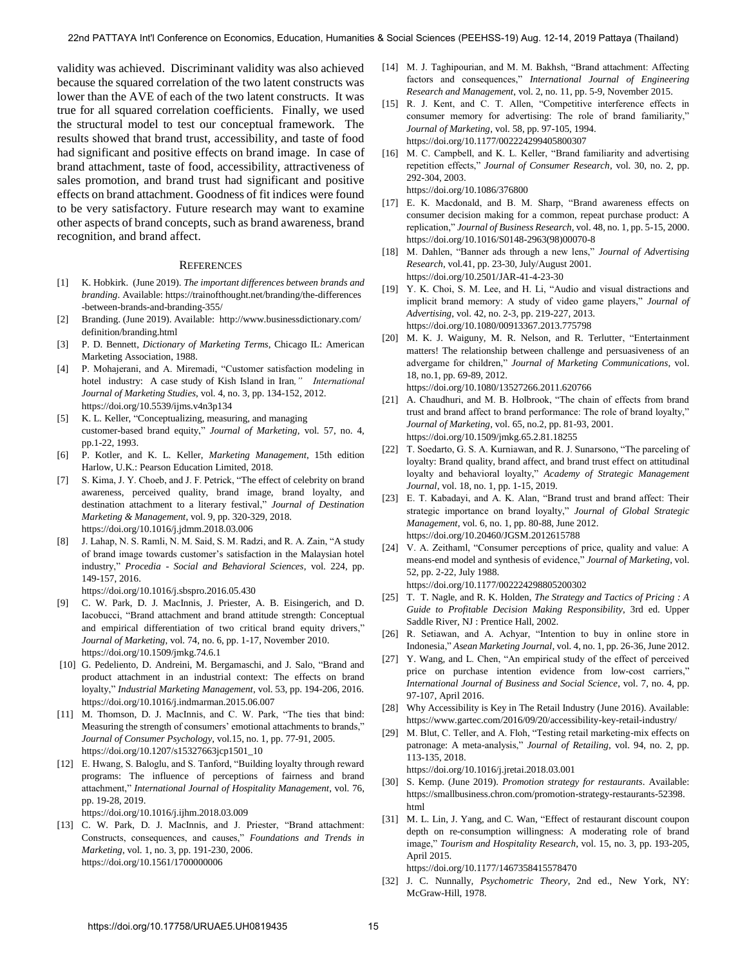validity was achieved. Discriminant validity was also achieved because the squared correlation of the two latent constructs was lower than the AVE of each of the two latent constructs. It was true for all squared correlation coefficients. Finally, we used the structural model to test our conceptual framework. The results showed that brand trust, accessibility, and taste of food had significant and positive effects on brand image. In case of brand attachment, taste of food, accessibility, attractiveness of sales promotion, and brand trust had significant and positive effects on brand attachment. Goodness of fit indices were found to be very satisfactory. Future research may want to examine other aspects of brand concepts, such as brand awareness, brand recognition, and brand affect.

#### **REFERENCES**

- [1] K. Hobkirk. (June 2019). *The important differences between brands and branding*. Available[: https://trainofthought.net/branding/the-differences](https://trainofthought.net/branding/the-differences) -between-brands-and-branding-355/
- [2] Branding. (June 2019). Available: <http://www.businessdictionary.com/> definition/branding.html
- [3] P. D. Bennett, *Dictionary of Marketing Terms*, Chicago IL: American Marketing Association, 1988.
- [4] [P. Mohajerani, and A. Miremadi, "Customer satisfaction modeling in](https://doi.org/10.5539/ijms.v4n3p134) [hotel industry: A case study of Kish Island in Iran](https://doi.org/10.5539/ijms.v4n3p134)*," International Journal of Marketing Studies*[, vol. 4, no. 3, pp. 134-152, 2012.](https://doi.org/10.5539/ijms.v4n3p134)  https://doi.org/10.5539/ijms.v4n3p134
- [5] K. L. Keller, "Conceptualizing, measuring, and managing customer-based brand equity," *Journal of Marketing*, vol. 57, no. 4, pp.1-22, 1993.
- [6] P. Kotler, and K. L. Keller, *Marketing Management*, 15th edition Harlow, U.K.: Pearson Education Limited, 2018.
- [7] [S. Kima, J. Y. Choeb, and J. F. Petrick, "The effect of celebrity on brand](https://doi.org/10.1016/j.jdmm.2018.03.006)  [awareness, perceived quality, brand image, brand loyalty, and](https://doi.org/10.1016/j.jdmm.2018.03.006)  [destination attachment to a literary festival,"](https://doi.org/10.1016/j.jdmm.2018.03.006) *Journal of Destination Marketing & Management*[, vol. 9, pp. 320-329, 2018.](https://doi.org/10.1016/j.jdmm.2018.03.006) https://doi.org/10.1016/j.jdmm.2018.03.006
- [8] [J. Lahap, N. S. Ramli, N. M. Said, S. M. Radzi, and R. A. Zain, "A study](https://doi.org/10.1016/j.sbspro.2016.05.430)  [of brand image towards customer's satisfaction in the Malaysian hotel](https://doi.org/10.1016/j.sbspro.2016.05.430)  industry," *[Procedia - Social and Behavioral Sciences](https://doi.org/10.1016/j.sbspro.2016.05.430)*, vol. 224, pp. [149-157, 2016.](https://doi.org/10.1016/j.sbspro.2016.05.430)

https://doi.org/10.1016/j.sbspro.2016.05.430

- [9] [C. W. Park, D. J. MacInnis, J. Priester, A. B. Eisingerich, and D.](https://doi.org/10.1509/jmkg.74.6.1)  [Iacobucci, "Brand attachment and brand attitude strength: Conceptual](https://doi.org/10.1509/jmkg.74.6.1)  [and empirical differentiation of two critical brand equity drivers,"](https://doi.org/10.1509/jmkg.74.6.1)  *Journal of Marketing*[, vol. 74, no. 6, pp. 1-17, November 2010.](https://doi.org/10.1509/jmkg.74.6.1) https://doi.org/10.1509/jmkg.74.6.1
- [10] [G. Pedeliento, D. Andreini, M. Bergamaschi, and J. Salo, "Brand and](https://doi.org/10.1016/j.indmarman.2015.06.007)  [product attachment in an industrial context: The effects on brand](https://doi.org/10.1016/j.indmarman.2015.06.007)  loyalty," *[Industrial Marketing Management](https://doi.org/10.1016/j.indmarman.2015.06.007)*, vol. 53, pp. 194-206, 2016. https://doi.org/10.1016/j.indmarman.2015.06.007
- [11] M. Thomson, D. J. MacInnis, and C. W. Park, "The ties that bind: [Measuring the strength of consumers' emotional attachments to brands,"](https://doi.org/10.1207/s15327663jcp1501_10) *[Journal of Consumer Psychology](https://doi.org/10.1207/s15327663jcp1501_10)*, vol.15, no. 1, pp. 77-91, 2005. https://doi.org/10.1207/s15327663jcp1501\_10
- [12] [E. Hwang, S. Baloglu, and S. Tanford, "Building loyalty through reward](https://doi.org/10.1016/j.ijhm.2018.03.009)  [programs: The influence of perceptions of fairness and brand](https://doi.org/10.1016/j.ijhm.2018.03.009)  attachment," *[International Journal of Hospitality Management](https://doi.org/10.1016/j.ijhm.2018.03.009)*, vol. 76, [pp. 19-28, 2019.](https://doi.org/10.1016/j.ijhm.2018.03.009)

https://doi.org/10.1016/j.ijhm.2018.03.009

[13] C. W. Park, D. J. MacInnis, and J. Priester, "Brand attachment: [Constructs, consequences, and causes,"](https://doi.org/10.1561/1700000006) *Foundations and Trends in Marketing*[, vol. 1, no. 3, pp. 191-230, 2006.](https://doi.org/10.1561/1700000006) https://doi.org/10.1561/1700000006

- [14] M. J. Taghipourian, and M. M. Bakhsh, "Brand attachment: Affecting factors and consequences," *International Journal of Engineering Research and Management*, vol. 2, no. 11, pp. 5-9, November 2015.
- [15] [R. J. Kent, and C. T. Allen, "Competitive interference effects in](https://doi.org/10.1177/002224299405800307)  [consumer memory for advertising: The role of brand familiarity,"](https://doi.org/10.1177/002224299405800307)  *Journal of Marketing*[, vol. 58, pp. 97-105, 1994.](https://doi.org/10.1177/002224299405800307)  https://doi.org/10.1177/002224299405800307
- [16] M. C. Campbell, and K. L. Keller, "Brand familiarity and advertising repetition effects," *[Journal of Consumer Research](https://doi.org/10.1086/376800)*, vol. 30, no. 2, pp. [292-304, 2003.](https://doi.org/10.1086/376800) https://doi.org/10.1086/376800
- [17] [E. K. Macdonald, and B. M. Sharp, "Brand awareness effects on](https://doi.org/10.1016/S0148-2963(98)00070-8)  [consumer decision making for a common, repeat purchase product: A](https://doi.org/10.1016/S0148-2963(98)00070-8)  replication," *Journal of Business Research*[, vol. 48, no. 1, pp. 5-15, 2000.](https://doi.org/10.1016/S0148-2963(98)00070-8) https://doi.org/10.1016/S0148-2963(98)00070-8
- [18] [M. Dahlen, "Banner ads through a new lens,"](https://doi.org/10.2501/JAR-41-4-23-30) *Journal of Advertising Research*[, vol.41, pp. 23-30, July/August 2001.](https://doi.org/10.2501/JAR-41-4-23-30)  https://doi.org/10.2501/JAR-41-4-23-30
- [19] [Y. K. Choi, S. M. Lee, and H. Li, "Audio and visual distractions and](https://doi.org/10.1080/00913367.2013.775798)  [implicit brand memory: A study of video game players,"](https://doi.org/10.1080/00913367.2013.775798) *Journal of Advertising*[, vol. 42, no. 2-3, pp. 219-227, 2013.](https://doi.org/10.1080/00913367.2013.775798)  https://doi.org/10.1080/00913367.2013.775798
- [20] [M. K. J. Waiguny, M. R. Nelson, and R. Terlutter, "Entertainment](https://doi.org/10.1080/13527266.2011.620766)  [matters! The relationship between challenge and persuasiveness of an](https://doi.org/10.1080/13527266.2011.620766)  advergame for children," *[Journal of Marketing Communications](https://doi.org/10.1080/13527266.2011.620766)*, vol. [18, no.1, pp. 69-89, 2012.](https://doi.org/10.1080/13527266.2011.620766) https://doi.org/10.1080/13527266.2011.620766
- [21] A. [Chaudhuri, and M. B. Holbrook, "The chain of effects from brand](https://doi.org/10.1509/jmkg.65.2.81.18255)  [trust and brand affect to brand performance: The role of brand loyalty,"](https://doi.org/10.1509/jmkg.65.2.81.18255)  *Journal of Marketing*[, vol. 65, no.2, pp. 81-93, 2001.](https://doi.org/10.1509/jmkg.65.2.81.18255)  https://doi.org/10.1509/jmkg.65.2.81.18255
- [22] T. Soedarto, G. S. A. Kurniawan, and R. J. Sunarsono, "The parceling of loyalty: Brand quality, brand affect, and brand trust effect on attitudinal loyalty and behavioral loyalty," *Academy of Strategic Management Journal*, vol. 18, no. 1, pp. 1-15, 2019.
- [23] E. T. Kabadayi, and A. K. Alan, "Brand trust and brand affect: Their [strategic importance on brand loyalty,"](https://doi.org/10.20460/JGSM.2012615788) *Journal of Global Strategic Management*[, vol. 6, no. 1, pp. 80-88, June 2012.](https://doi.org/10.20460/JGSM.2012615788)  https://doi.org/10.20460/JGSM.2012615788
- [24] [V. A. Zeithaml, "Consumer perceptions of price, quality and value: A](https://doi.org/10.1177/002224298805200302)  [means-end model and synthesis of evidence,"](https://doi.org/10.1177/002224298805200302) *Journal of Marketing*, vol. [52, pp. 2-22, July 1988.](https://doi.org/10.1177/002224298805200302)

https://doi.org/10.1177/002224298805200302

- [25] T. T. Nagle, and R. K. Holden, *The Strategy and Tactics of Pricing : A Guide to Profitable Decision Making Responsibility*, 3rd ed. Upper Saddle River, NJ : Prentice Hall, 2002.
- [26] R. Setiawan, and A. Achyar, "Intention to buy in online store in Indonesia," *Asean Marketing Journal*, vol. 4, no. 1, pp. 26-36, June 2012.
- [27] Y. Wang, and L. Chen, "An empirical study of the effect of perceived price on purchase intention evidence from low-cost carriers," *International Journal of Business and Social Science*, vol. 7, no. 4, pp. 97-107, April 2016.
- [28] Why Accessibility is Key in The Retail Industry (June 2016). Available: <https://www.gartec.com/2016/09/20/accessibility-key-retail-industry/>
- [29] M. Blut, C. Teller, and A. Floh, "Testing retail marketing-mix effects on [patronage: A meta-analysis,"](https://doi.org/10.1016/j.jretai.2018.03.001) *Journal of Retailing*, vol. 94, no. 2, pp. [113-135, 2018.](https://doi.org/10.1016/j.jretai.2018.03.001)

https://doi.org/10.1016/j.jretai.2018.03.001

- [30] S. Kemp. (June 2019). *Promotion strategy for restaurants*. Available: [https://smallbusiness.chron.com/promotion-strategy-restaurants-52398.](https://smallbusiness.chron.com/promotion-strategy-restaurants-52398.html%202019) [html](https://smallbusiness.chron.com/promotion-strategy-restaurants-52398.html%202019)
- [31] M. L. Lin, J. Yang, and C. Wan, "Effect of restaurant discount coupon [depth on re-consumption willingness: A moderating role of brand](https://doi.org/10.1177/1467358415578470)  image," *[Tourism and Hospitality Research](https://doi.org/10.1177/1467358415578470)*, vol. 15, no. 3, pp. 193-205, [April 2015.](https://doi.org/10.1177/1467358415578470)

https://doi.org/10.1177/1467358415578470

[32] J. C. Nunnally*, Psychometric Theory*, 2nd ed., New York, NY: McGraw-Hill, 1978.